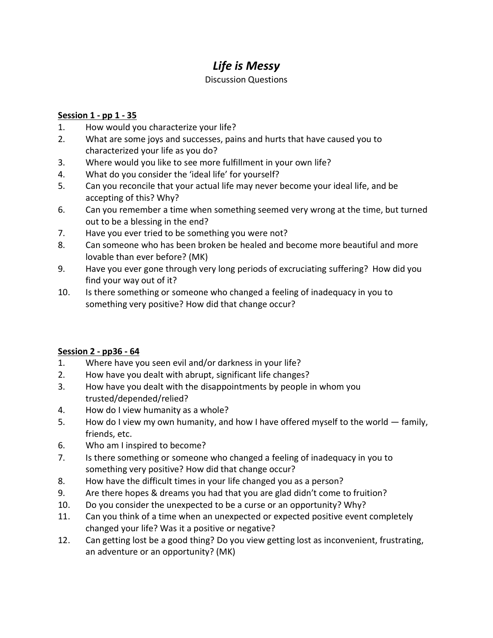# *Life is Messy*

#### Discussion Questions

### **Session 1 - pp 1 - 35**

- 1. How would you characterize your life?
- 2. What are some joys and successes, pains and hurts that have caused you to characterized your life as you do?
- 3. Where would you like to see more fulfillment in your own life?
- 4. What do you consider the 'ideal life' for yourself?
- 5. Can you reconcile that your actual life may never become your ideal life, and be accepting of this? Why?
- 6. Can you remember a time when something seemed very wrong at the time, but turned out to be a blessing in the end?
- 7. Have you ever tried to be something you were not?
- 8. Can someone who has been broken be healed and become more beautiful and more lovable than ever before? (MK)
- 9. Have you ever gone through very long periods of excruciating suffering? How did you find your way out of it?
- 10. Is there something or someone who changed a feeling of inadequacy in you to something very positive? How did that change occur?

## **Session 2 - pp36 - 64**

- 1. Where have you seen evil and/or darkness in your life?
- 2. How have you dealt with abrupt, significant life changes?
- 3. How have you dealt with the disappointments by people in whom you trusted/depended/relied?
- 4. How do I view humanity as a whole?
- 5. How do I view my own humanity, and how I have offered myself to the world family, friends, etc.
- 6. Who am I inspired to become?
- 7. Is there something or someone who changed a feeling of inadequacy in you to something very positive? How did that change occur?
- 8. How have the difficult times in your life changed you as a person?
- 9. Are there hopes & dreams you had that you are glad didn't come to fruition?
- 10. Do you consider the unexpected to be a curse or an opportunity? Why?
- 11. Can you think of a time when an unexpected or expected positive event completely changed your life? Was it a positive or negative?
- 12. Can getting lost be a good thing? Do you view getting lost as inconvenient, frustrating, an adventure or an opportunity? (MK)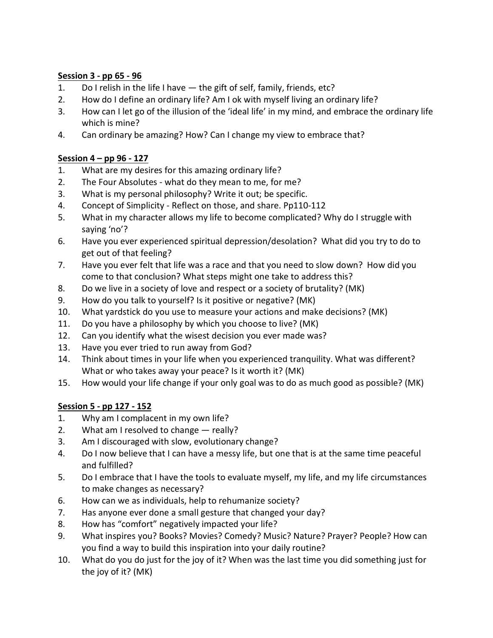#### **Session 3 - pp 65 - 96**

- 1. Do I relish in the life I have the gift of self, family, friends, etc?
- 2. How do I define an ordinary life? Am I ok with myself living an ordinary life?
- 3. How can I let go of the illusion of the 'ideal life' in my mind, and embrace the ordinary life which is mine?
- 4. Can ordinary be amazing? How? Can I change my view to embrace that?

## **Session 4 – pp 96 - 127**

- 1. What are my desires for this amazing ordinary life?
- 2. The Four Absolutes what do they mean to me, for me?
- 3. What is my personal philosophy? Write it out; be specific.
- 4. Concept of Simplicity Reflect on those, and share. Pp110-112
- 5. What in my character allows my life to become complicated? Why do I struggle with saying 'no'?
- 6. Have you ever experienced spiritual depression/desolation? What did you try to do to get out of that feeling?
- 7. Have you ever felt that life was a race and that you need to slow down? How did you come to that conclusion? What steps might one take to address this?
- 8. Do we live in a society of love and respect or a society of brutality? (MK)
- 9. How do you talk to yourself? Is it positive or negative? (MK)
- 10. What yardstick do you use to measure your actions and make decisions? (MK)
- 11. Do you have a philosophy by which you choose to live? (MK)
- 12. Can you identify what the wisest decision you ever made was?
- 13. Have you ever tried to run away from God?
- 14. Think about times in your life when you experienced tranquility. What was different? What or who takes away your peace? Is it worth it? (MK)
- 15. How would your life change if your only goal was to do as much good as possible? (MK)

## **Session 5 - pp 127 - 152**

- 1. Why am I complacent in my own life?
- 2. What am I resolved to change really?
- 3. Am I discouraged with slow, evolutionary change?
- 4. Do I now believe that I can have a messy life, but one that is at the same time peaceful and fulfilled?
- 5. Do I embrace that I have the tools to evaluate myself, my life, and my life circumstances to make changes as necessary?
- 6. How can we as individuals, help to rehumanize society?
- 7. Has anyone ever done a small gesture that changed your day?
- 8. How has "comfort" negatively impacted your life?
- 9. What inspires you? Books? Movies? Comedy? Music? Nature? Prayer? People? How can you find a way to build this inspiration into your daily routine?
- 10. What do you do just for the joy of it? When was the last time you did something just for the joy of it? (MK)